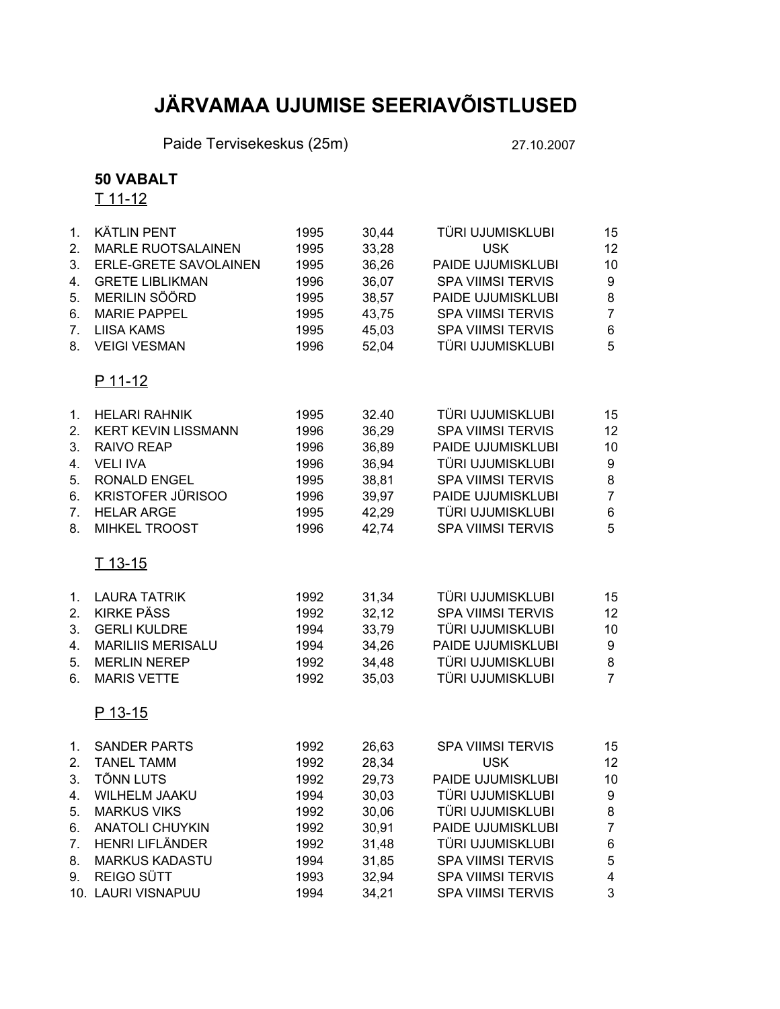## **JÄRVAMAA UJUMISE SEERIAVÕISTLUSED**

Paide Tervisekeskus (25m) 27.10.2007

## **50 VABALT**

 $T$  11-12

| 1 <sub>1</sub> | <b>KÄTLIN PENT</b>         | 1995 | 30,44 | TÜRI UJUMISKLUBI         | 15             |
|----------------|----------------------------|------|-------|--------------------------|----------------|
| 2.             | <b>MARLE RUOTSALAINEN</b>  | 1995 | 33,28 | <b>USK</b>               | 12             |
| 3.             | ERLE-GRETE SAVOLAINEN      | 1995 | 36,26 | PAIDE UJUMISKLUBI        | 10             |
| 4.             | <b>GRETE LIBLIKMAN</b>     | 1996 | 36,07 | <b>SPA VIIMSI TERVIS</b> | 9              |
| 5.             | MERILIN SÖÖRD              | 1995 | 38,57 | PAIDE UJUMISKLUBI        | 8              |
| 6.             | <b>MARIE PAPPEL</b>        | 1995 | 43,75 | <b>SPA VIIMSI TERVIS</b> | $\overline{7}$ |
| 7.             | <b>LIISA KAMS</b>          | 1995 | 45,03 | <b>SPA VIIMSI TERVIS</b> | 6              |
| 8.             | <b>VEIGI VESMAN</b>        | 1996 | 52,04 | TÜRI UJUMISKLUBI         | 5              |
|                | <u>P 11-12</u>             |      |       |                          |                |
| 1.             | <b>HELARI RAHNIK</b>       | 1995 | 32.40 | TÜRI UJUMISKLUBI         | 15             |
| 2.             | <b>KERT KEVIN LISSMANN</b> | 1996 | 36,29 | <b>SPA VIIMSI TERVIS</b> | 12             |
| 3.             | <b>RAIVO REAP</b>          | 1996 | 36,89 | PAIDE UJUMISKLUBI        | 10             |
| 4.             | <b>VELI IVA</b>            | 1996 | 36,94 | TÜRI UJUMISKLUBI         | 9              |
| 5.             | <b>RONALD ENGEL</b>        | 1995 | 38,81 | <b>SPA VIIMSI TERVIS</b> | 8              |
| 6.             | <b>KRISTOFER JÜRISOO</b>   | 1996 | 39,97 | PAIDE UJUMISKLUBI        | $\overline{7}$ |
| 7.             | <b>HELAR ARGE</b>          | 1995 | 42,29 | TÜRI UJUMISKLUBI         | 6              |
| 8.             | <b>MIHKEL TROOST</b>       | 1996 | 42,74 | <b>SPA VIIMSI TERVIS</b> | 5              |
|                | <u>T 13-15</u>             |      |       |                          |                |
| 1.             | <b>LAURA TATRIK</b>        | 1992 | 31,34 | TÜRI UJUMISKLUBI         | 15             |
| 2.             | <b>KIRKE PÄSS</b>          | 1992 | 32,12 | <b>SPA VIIMSI TERVIS</b> | 12             |
| 3.             | <b>GERLI KULDRE</b>        | 1994 | 33,79 | TÜRI UJUMISKLUBI         | 10             |
| 4.             | <b>MARILIIS MERISALU</b>   | 1994 | 34,26 | PAIDE UJUMISKLUBI        | 9              |
| 5.             | <b>MERLIN NEREP</b>        | 1992 | 34,48 | TÜRI UJUMISKLUBI         | 8              |
| 6.             | <b>MARIS VETTE</b>         | 1992 | 35,03 | TÜRI UJUMISKLUBI         | $\overline{7}$ |
|                | P 13-15                    |      |       |                          |                |
| 1.             | <b>SANDER PARTS</b>        | 1992 | 26,63 | <b>SPA VIIMSI TERVIS</b> | 15             |
| 2.             | <b>TANEL TAMM</b>          | 1992 | 28,34 | <b>USK</b>               | 12             |
| 3.             | TÕNN LUTS                  | 1992 | 29,73 | PAIDE UJUMISKLUBI        | 10             |
| 4.             | WILHELM JAAKU              | 1994 | 30,03 | TÜRI UJUMISKLUBI         | 9              |
| 5.             | <b>MARKUS VIKS</b>         | 1992 | 30,06 | TÜRI UJUMISKLUBI         | 8              |
| 6.             | <b>ANATOLI CHUYKIN</b>     | 1992 | 30,91 | PAIDE UJUMISKLUBI        | $\overline{7}$ |
| 7.             | <b>HENRI LIFLÄNDER</b>     | 1992 | 31,48 | TÜRI UJUMISKLUBI         | 6              |
| 8.             | <b>MARKUS KADASTU</b>      | 1994 | 31,85 | <b>SPA VIIMSI TERVIS</b> | 5              |
| 9.             | <b>REIGO SÜTT</b>          | 1993 | 32,94 | <b>SPA VIIMSI TERVIS</b> | 4              |
|                | 10. LAURI VISNAPUU         | 1994 | 34,21 | <b>SPA VIIMSI TERVIS</b> | 3              |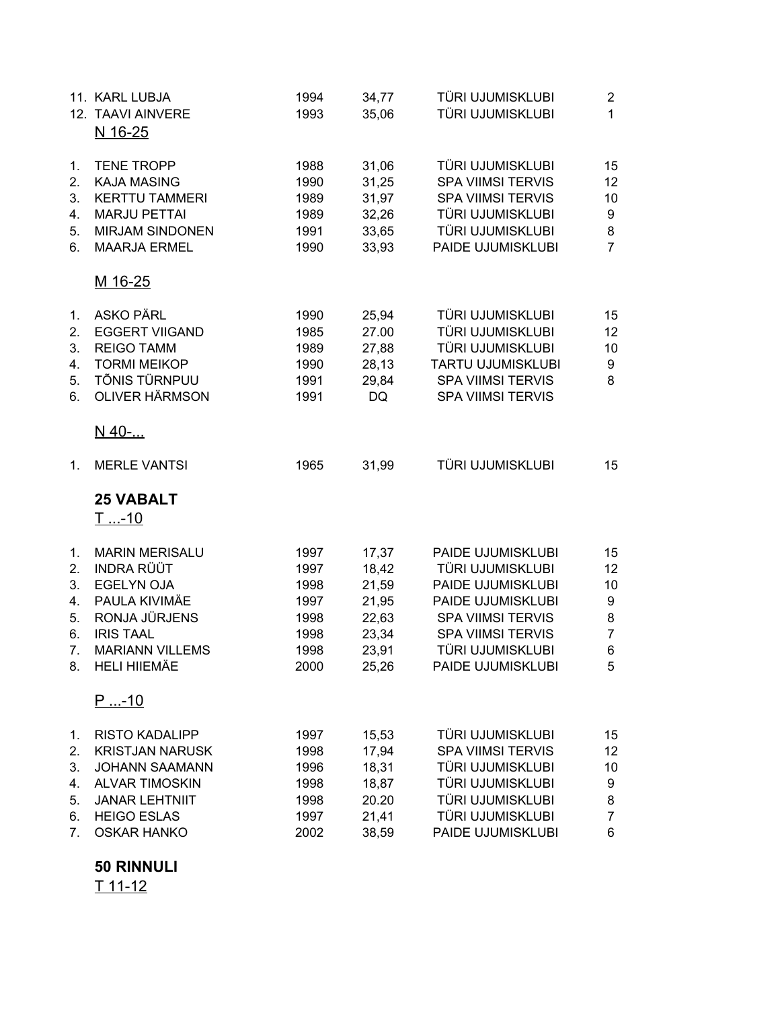| 11. KARL LUBJA<br>12. TAAVI AINVERE<br>N 16-25                                                                                                                         | 1994<br>1993                                                 | 34,77<br>35,06                                                       | TÜRI UJUMISKLUBI<br>TÜRI UJUMISKLUBI                                                                                                                                             | $\overline{2}$<br>$\mathbf{1}$                       |
|------------------------------------------------------------------------------------------------------------------------------------------------------------------------|--------------------------------------------------------------|----------------------------------------------------------------------|----------------------------------------------------------------------------------------------------------------------------------------------------------------------------------|------------------------------------------------------|
| <b>TENE TROPP</b><br><b>KAJA MASING</b><br><b>KERTTU TAMMERI</b><br><b>MARJU PETTAI</b><br><b>MIRJAM SINDONEN</b><br><b>MAARJA ERMEL</b>                               | 1988<br>1990<br>1989<br>1989<br>1991<br>1990                 | 31,06<br>31,25<br>31,97<br>32,26<br>33,65<br>33,93                   | TÜRI UJUMISKLUBI<br><b>SPA VIIMSI TERVIS</b><br><b>SPA VIIMSI TERVIS</b><br>TÜRI UJUMISKLUBI<br>TÜRI UJUMISKLUBI<br>PAIDE UJUMISKLUBI                                            | 15<br>12<br>10<br>9<br>8<br>$\overline{7}$           |
| M 16-25                                                                                                                                                                |                                                              |                                                                      |                                                                                                                                                                                  |                                                      |
| <b>ASKO PÄRL</b><br><b>EGGERT VIIGAND</b><br><b>REIGO TAMM</b><br><b>TORMI MEIKOP</b><br>TÕNIS TÜRNPUU<br><b>OLIVER HÄRMSON</b>                                        | 1990<br>1985<br>1989<br>1990<br>1991<br>1991                 | 25,94<br>27.00<br>27,88<br>28,13<br>29,84<br>DQ                      | TÜRI UJUMISKLUBI<br>TÜRI UJUMISKLUBI<br>TÜRI UJUMISKLUBI<br><b>TARTU UJUMISKLUBI</b><br><b>SPA VIIMSI TERVIS</b><br><b>SPA VIIMSI TERVIS</b>                                     | 15<br>12<br>10<br>9<br>8                             |
| N 40-                                                                                                                                                                  |                                                              |                                                                      |                                                                                                                                                                                  |                                                      |
| <b>MERLE VANTSI</b>                                                                                                                                                    | 1965                                                         | 31,99                                                                | TÜRI UJUMISKLUBI                                                                                                                                                                 | 15                                                   |
| <b>25 VABALT</b><br>$T_{}$ -10                                                                                                                                         |                                                              |                                                                      |                                                                                                                                                                                  |                                                      |
| <b>MARIN MERISALU</b><br><b>INDRA RÜÜT</b><br><b>EGELYN OJA</b><br>PAULA KIVIMÄE<br>RONJA JÜRJENS<br><b>IRIS TAAL</b><br><b>MARIANN VILLEMS</b><br><b>HELI HIIEMÄE</b> | 1997<br>1997<br>1998<br>1997<br>1998<br>1998<br>1998<br>2000 | 17,37<br>18,42<br>21,59<br>21,95<br>22,63<br>23,34<br>23,91<br>25,26 | PAIDE UJUMISKLUBI<br>TÜRI UJUMISKLUBI<br>PAIDE UJUMISKLUBI<br>PAIDE UJUMISKLUBI<br><b>SPA VIIMSI TERVIS</b><br><b>SPA VIIMSI TERVIS</b><br>TÜRI UJUMISKLUBI<br>PAIDE UJUMISKLUBI | 15<br>12<br>10<br>9<br>8<br>$\overline{7}$<br>6<br>5 |
| <u>P -10</u>                                                                                                                                                           |                                                              |                                                                      |                                                                                                                                                                                  |                                                      |
| <b>RISTO KADALIPP</b><br><b>KRISTJAN NARUSK</b><br><b>JOHANN SAAMANN</b><br><b>ALVAR TIMOSKIN</b><br><b>JANAR LEHTNIIT</b><br><b>HEIGO ESLAS</b>                       | 1997<br>1998<br>1996<br>1998<br>1998<br>1997                 | 15,53<br>17,94<br>18,31<br>18,87<br>20.20<br>21,41                   | TÜRI UJUMISKLUBI<br><b>SPA VIIMSI TERVIS</b><br>TÜRI UJUMISKLUBI<br>TÜRI UJUMISKLUBI<br>TÜRI UJUMISKLUBI<br>TÜRI UJUMISKLUBI                                                     | 15<br>12<br>10<br>9<br>8<br>$\overline{7}$<br>6      |
|                                                                                                                                                                        | <b>OSKAR HANKO</b>                                           | 2002                                                                 | 38,59                                                                                                                                                                            | PAIDE UJUMISKLUBI                                    |

**50 RINNULI**

 $T$  11-12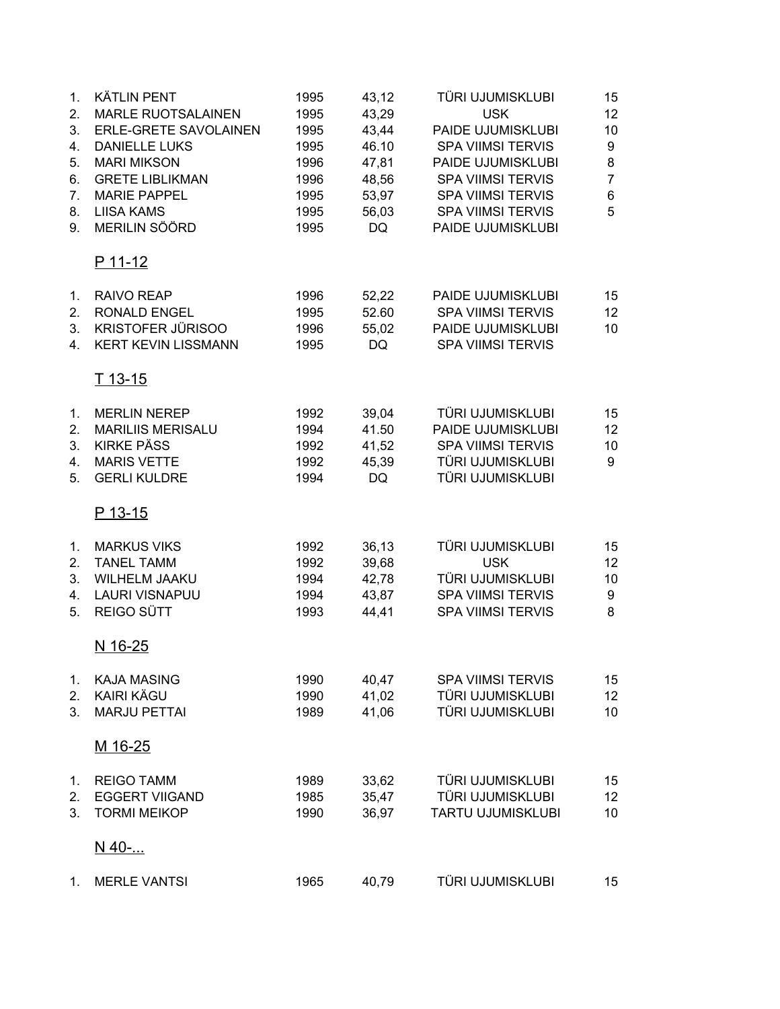| 1.<br>2.       | <b>KÄTLIN PENT</b><br><b>MARLE RUOTSALAINEN</b> | 1995<br>1995 | 43,12<br>43,29 | TÜRI UJUMISKLUBI<br><b>USK</b> | 15<br>12         |
|----------------|-------------------------------------------------|--------------|----------------|--------------------------------|------------------|
| 3.             | ERLE-GRETE SAVOLAINEN                           | 1995         | 43,44          | PAIDE UJUMISKLUBI              | 10               |
| 4.             | <b>DANIELLE LUKS</b>                            | 1995         | 46.10          | <b>SPA VIIMSI TERVIS</b>       | $\boldsymbol{9}$ |
| 5.             | <b>MARI MIKSON</b>                              | 1996         | 47,81          | PAIDE UJUMISKLUBI              | 8                |
| 6.             | <b>GRETE LIBLIKMAN</b>                          | 1996         | 48,56          | <b>SPA VIIMSI TERVIS</b>       | $\overline{7}$   |
| 7.             | <b>MARIE PAPPEL</b>                             | 1995         | 53,97          | <b>SPA VIIMSI TERVIS</b>       | 6                |
| 8.             | <b>LIISA KAMS</b>                               | 1995         | 56,03          | <b>SPA VIIMSI TERVIS</b>       | 5                |
| 9.             | MERILIN SÖÖRD                                   | 1995         | <b>DQ</b>      | PAIDE UJUMISKLUBI              |                  |
|                | P 11-12                                         |              |                |                                |                  |
| 1 <sub>1</sub> | RAIVO REAP                                      | 1996         | 52,22          | PAIDE UJUMISKLUBI              | 15               |
| 2.             | RONALD ENGEL                                    | 1995         | 52.60          | <b>SPA VIIMSI TERVIS</b>       | 12               |
| 3.             | KRISTOFER JÜRISOO                               | 1996         | 55,02          | PAIDE UJUMISKLUBI              | 10               |
| 4.             | <b>KERT KEVIN LISSMANN</b>                      | 1995         | <b>DQ</b>      | <b>SPA VIIMSI TERVIS</b>       |                  |
|                | T 13-15                                         |              |                |                                |                  |
| 1.             | <b>MERLIN NEREP</b>                             | 1992         | 39,04          | TÜRI UJUMISKLUBI               | 15               |
| 2.             | <b>MARILIIS MERISALU</b>                        | 1994         | 41.50          | PAIDE UJUMISKLUBI              | 12               |
| 3.             | <b>KIRKE PÄSS</b>                               | 1992         | 41,52          | <b>SPA VIIMSI TERVIS</b>       | 10               |
| 4.             | <b>MARIS VETTE</b>                              | 1992         | 45,39          | TÜRI UJUMISKLUBI               | 9                |
| 5.             | <b>GERLI KULDRE</b>                             | 1994         | DQ             | TÜRI UJUMISKLUBI               |                  |
|                | P 13-15                                         |              |                |                                |                  |
| 1.             | <b>MARKUS VIKS</b>                              | 1992         | 36, 13         | TÜRI UJUMISKLUBI               | 15               |
| 2.             | <b>TANEL TAMM</b>                               | 1992         | 39,68          | <b>USK</b>                     | 12               |
| 3.             | <b>WILHELM JAAKU</b>                            | 1994         | 42,78          | TÜRI UJUMISKLUBI               | 10               |
| 4.             | <b>LAURI VISNAPUU</b>                           | 1994         | 43,87          | <b>SPA VIIMSI TERVIS</b>       | 9                |
| 5.             | REIGO SÜTT                                      | 1993         | 44,41          | <b>SPA VIIMSI TERVIS</b>       | 8                |
|                | <u>N 16-25</u>                                  |              |                |                                |                  |
| 1.             | <b>KAJA MASING</b>                              | 1990         | 40,47          | <b>SPA VIIMSI TERVIS</b>       | 15               |
| 2.             | <b>KAIRI KÄGU</b>                               | 1990         | 41,02          | TÜRI UJUMISKLUBI               | 12               |
| 3.             | <b>MARJU PETTAI</b>                             | 1989         | 41,06          | TÜRI UJUMISKLUBI               | 10               |
|                | M 16-25                                         |              |                |                                |                  |
| 1.             | <b>REIGO TAMM</b>                               | 1989         | 33,62          | TÜRI UJUMISKLUBI               | 15               |
| 2.             | <b>EGGERT VIIGAND</b>                           | 1985         | 35,47          | TÜRI UJUMISKLUBI               | 12               |
| 3.             | <b>TORMI MEIKOP</b>                             | 1990         | 36,97          | <b>TARTU UJUMISKLUBI</b>       | 10               |
|                | N 40-                                           |              |                |                                |                  |
| 1.             | <b>MERLE VANTSI</b>                             | 1965         | 40,79          | TÜRI UJUMISKLUBI               | 15               |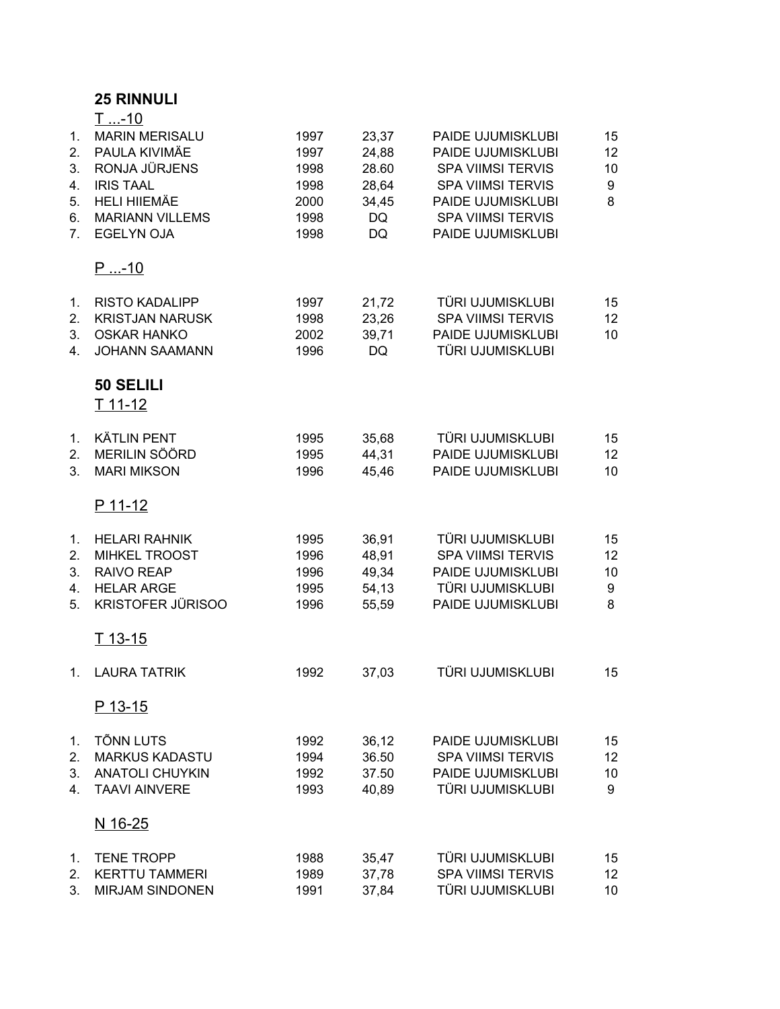## **25 RINNULI**

| 1.<br>2.<br>3.<br>4.<br>5.<br>6.<br>7. | <u>T-10</u><br><b>MARIN MERISALU</b><br>PAULA KIVIMÄE<br>RONJA JÜRJENS<br><b>IRIS TAAL</b><br><b>HELI HIIEMÄE</b><br><b>MARIANN VILLEMS</b><br><b>EGELYN OJA</b> | 1997<br>1997<br>1998<br>1998<br>2000<br>1998<br>1998 | 23,37<br>24,88<br>28.60<br>28,64<br>34,45<br>DQ<br>DQ | PAIDE UJUMISKLUBI<br>PAIDE UJUMISKLUBI<br><b>SPA VIIMSI TERVIS</b><br><b>SPA VIIMSI TERVIS</b><br>PAIDE UJUMISKLUBI<br><b>SPA VIIMSI TERVIS</b><br>PAIDE UJUMISKLUBI | 15<br>12<br>10<br>9<br>8    |
|----------------------------------------|------------------------------------------------------------------------------------------------------------------------------------------------------------------|------------------------------------------------------|-------------------------------------------------------|----------------------------------------------------------------------------------------------------------------------------------------------------------------------|-----------------------------|
|                                        | <u>P -10</u>                                                                                                                                                     |                                                      |                                                       |                                                                                                                                                                      |                             |
| 1.<br>2.<br>3.<br>4.                   | <b>RISTO KADALIPP</b><br><b>KRISTJAN NARUSK</b><br><b>OSKAR HANKO</b><br><b>JOHANN SAAMANN</b>                                                                   | 1997<br>1998<br>2002<br>1996                         | 21,72<br>23,26<br>39,71<br><b>DQ</b>                  | TÜRI UJUMISKLUBI<br>SPA VIIMSI TERVIS<br>PAIDE UJUMISKLUBI<br>TÜRI UJUMISKLUBI                                                                                       | 15<br>12 <sub>2</sub><br>10 |
|                                        | 50 SELILI<br>T 11-12                                                                                                                                             |                                                      |                                                       |                                                                                                                                                                      |                             |
| 1.<br>2.<br>3.                         | <b>KÄTLIN PENT</b><br>MERILIN SÖÖRD<br><b>MARI MIKSON</b>                                                                                                        | 1995<br>1995<br>1996                                 | 35,68<br>44,31<br>45,46                               | TÜRI UJUMISKLUBI<br>PAIDE UJUMISKLUBI<br>PAIDE UJUMISKLUBI                                                                                                           | 15<br>12 <sub>2</sub><br>10 |
|                                        | P 11-12                                                                                                                                                          |                                                      |                                                       |                                                                                                                                                                      |                             |
| 1.<br>2.<br>3.<br>4.<br>5.             | <b>HELARI RAHNIK</b><br><b>MIHKEL TROOST</b><br>RAIVO REAP<br><b>HELAR ARGE</b><br><b>KRISTOFER JÜRISOO</b>                                                      | 1995<br>1996<br>1996<br>1995<br>1996                 | 36,91<br>48,91<br>49,34<br>54,13<br>55,59             | TÜRI UJUMISKLUBI<br><b>SPA VIIMSI TERVIS</b><br>PAIDE UJUMISKLUBI<br>TÜRI UJUMISKLUBI<br>PAIDE UJUMISKLUBI                                                           | 15<br>12<br>10<br>9<br>8    |
|                                        | $T$ 13-15                                                                                                                                                        |                                                      |                                                       |                                                                                                                                                                      |                             |
| $1_{\cdot}$                            | <b>LAURA TATRIK</b>                                                                                                                                              | 1992                                                 | 37,03                                                 | TÜRI UJUMISKLUBI                                                                                                                                                     | 15                          |
|                                        | P 13-15                                                                                                                                                          |                                                      |                                                       |                                                                                                                                                                      |                             |
| 1.<br>2.<br>3.<br>4.                   | <b>TÕNN LUTS</b><br><b>MARKUS KADASTU</b><br><b>ANATOLI CHUYKIN</b><br><b>TAAVI AINVERE</b><br>N 16-25                                                           | 1992<br>1994<br>1992<br>1993                         | 36,12<br>36.50<br>37.50<br>40,89                      | PAIDE UJUMISKLUBI<br><b>SPA VIIMSI TERVIS</b><br>PAIDE UJUMISKLUBI<br>TÜRI UJUMISKLUBI                                                                               | 15<br>12<br>10<br>9         |
| 1.                                     | <b>TENE TROPP</b>                                                                                                                                                | 1988                                                 | 35,47                                                 | TÜRI UJUMISKLUBI                                                                                                                                                     | 15                          |
| 2.<br>3.                               | <b>KERTTU TAMMERI</b><br><b>MIRJAM SINDONEN</b>                                                                                                                  | 1989<br>1991                                         | 37,78<br>37,84                                        | <b>SPA VIIMSI TERVIS</b><br>TÜRI UJUMISKLUBI                                                                                                                         | 12 <sub>2</sub><br>10       |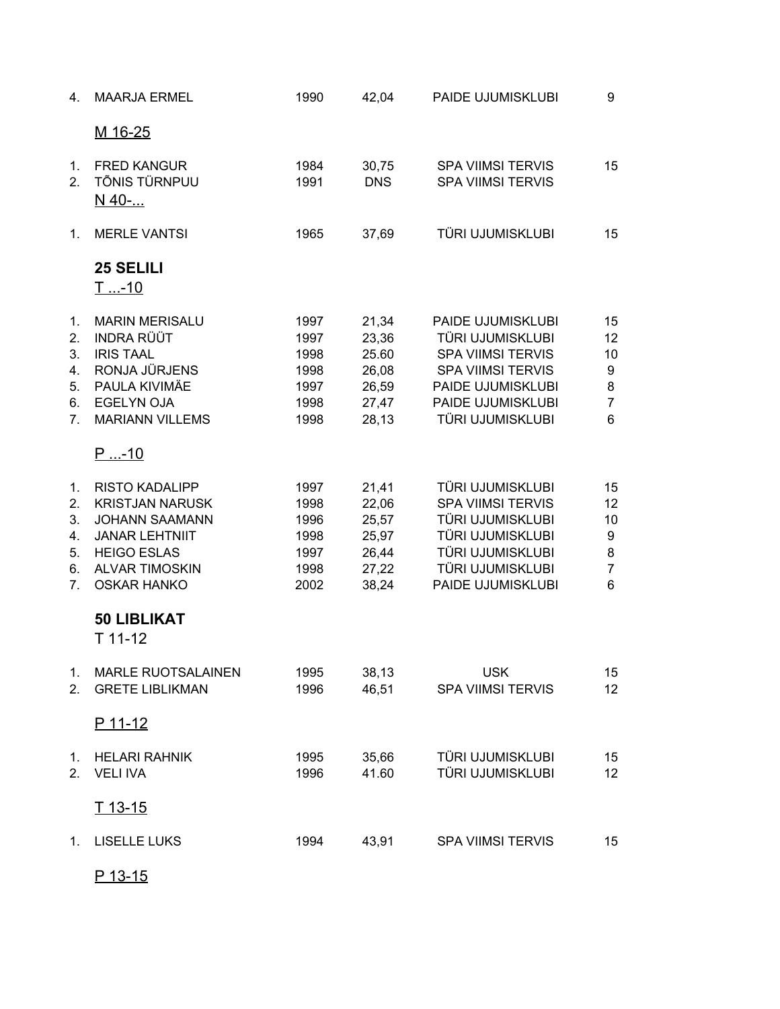| 4.                                                                   | <b>MAARJA ERMEL</b>                                                                                                                                                    | 1990                                                 | 42,04                                                       | PAIDE UJUMISKLUBI                                                                                                                                           | 9                                               |
|----------------------------------------------------------------------|------------------------------------------------------------------------------------------------------------------------------------------------------------------------|------------------------------------------------------|-------------------------------------------------------------|-------------------------------------------------------------------------------------------------------------------------------------------------------------|-------------------------------------------------|
|                                                                      | M 16-25                                                                                                                                                                |                                                      |                                                             |                                                                                                                                                             |                                                 |
| 1.<br>2.                                                             | <b>FRED KANGUR</b><br>TÕNIS TÜRNPUU<br>N_40-                                                                                                                           | 1984<br>1991                                         | 30,75<br><b>DNS</b>                                         | <b>SPA VIIMSI TERVIS</b><br><b>SPA VIIMSI TERVIS</b>                                                                                                        | 15                                              |
| 1.                                                                   | <b>MERLE VANTSI</b>                                                                                                                                                    | 1965                                                 | 37,69                                                       | TÜRI UJUMISKLUBI                                                                                                                                            | 15                                              |
|                                                                      | <b>25 SELILI</b><br><u>T-10</u>                                                                                                                                        |                                                      |                                                             |                                                                                                                                                             |                                                 |
| 1.<br>2.<br>3.<br>4.<br>5.<br>6.<br>$7_{\scriptscriptstyle{\ddots}}$ | <b>MARIN MERISALU</b><br><b>INDRA RÜÜT</b><br><b>IRIS TAAL</b><br>RONJA JÜRJENS<br>PAULA KIVIMÄE<br><b>EGELYN OJA</b><br><b>MARIANN VILLEMS</b>                        | 1997<br>1997<br>1998<br>1998<br>1997<br>1998<br>1998 | 21,34<br>23,36<br>25.60<br>26,08<br>26,59<br>27,47<br>28,13 | PAIDE UJUMISKLUBI<br>TÜRI UJUMISKLUBI<br><b>SPA VIIMSI TERVIS</b><br><b>SPA VIIMSI TERVIS</b><br>PAIDE UJUMISKLUBI<br>PAIDE UJUMISKLUBI<br>TÜRI UJUMISKLUBI | 15<br>12<br>10<br>9<br>8<br>$\overline{7}$<br>6 |
|                                                                      | $P_{}$ -10                                                                                                                                                             |                                                      |                                                             |                                                                                                                                                             |                                                 |
| 1.<br>2.<br>3.<br>4.<br>5.<br>6.<br>7.                               | <b>RISTO KADALIPP</b><br><b>KRISTJAN NARUSK</b><br><b>JOHANN SAAMANN</b><br><b>JANAR LEHTNIIT</b><br><b>HEIGO ESLAS</b><br><b>ALVAR TIMOSKIN</b><br><b>OSKAR HANKO</b> | 1997<br>1998<br>1996<br>1998<br>1997<br>1998<br>2002 | 21,41<br>22,06<br>25,57<br>25,97<br>26,44<br>27,22<br>38,24 | TÜRI UJUMISKLUBI<br><b>SPA VIIMSI TERVIS</b><br>TÜRI UJUMISKLUBI<br>TÜRI UJUMISKLUBI<br>TÜRI UJUMISKLUBI<br>TÜRI UJUMISKLUBI<br>PAIDE UJUMISKLUBI           | 15<br>12<br>10<br>9<br>8<br>$\overline{7}$<br>6 |
|                                                                      | <b>50 LIBLIKAT</b><br>T 11-12                                                                                                                                          |                                                      |                                                             |                                                                                                                                                             |                                                 |
| 1.<br>2.                                                             | MARLE RUOTSALAINEN<br><b>GRETE LIBLIKMAN</b>                                                                                                                           | 1995<br>1996                                         | 38,13<br>46,51                                              | <b>USK</b><br><b>SPA VIIMSI TERVIS</b>                                                                                                                      | 15<br>12                                        |
|                                                                      | P 11-12                                                                                                                                                                |                                                      |                                                             |                                                                                                                                                             |                                                 |
| 2.                                                                   | 1. HELARI RAHNIK<br><b>VELI IVA</b>                                                                                                                                    | 1995<br>1996                                         | 35,66<br>41.60                                              | TÜRI UJUMISKLUBI<br>TÜRI UJUMISKLUBI                                                                                                                        | 15<br>12                                        |
|                                                                      | T 13-15                                                                                                                                                                |                                                      |                                                             |                                                                                                                                                             |                                                 |
| 1.                                                                   | LISELLE LUKS                                                                                                                                                           | 1994                                                 | 43,91                                                       | <b>SPA VIIMSI TERVIS</b>                                                                                                                                    | 15                                              |
|                                                                      |                                                                                                                                                                        |                                                      |                                                             |                                                                                                                                                             |                                                 |

P 13-15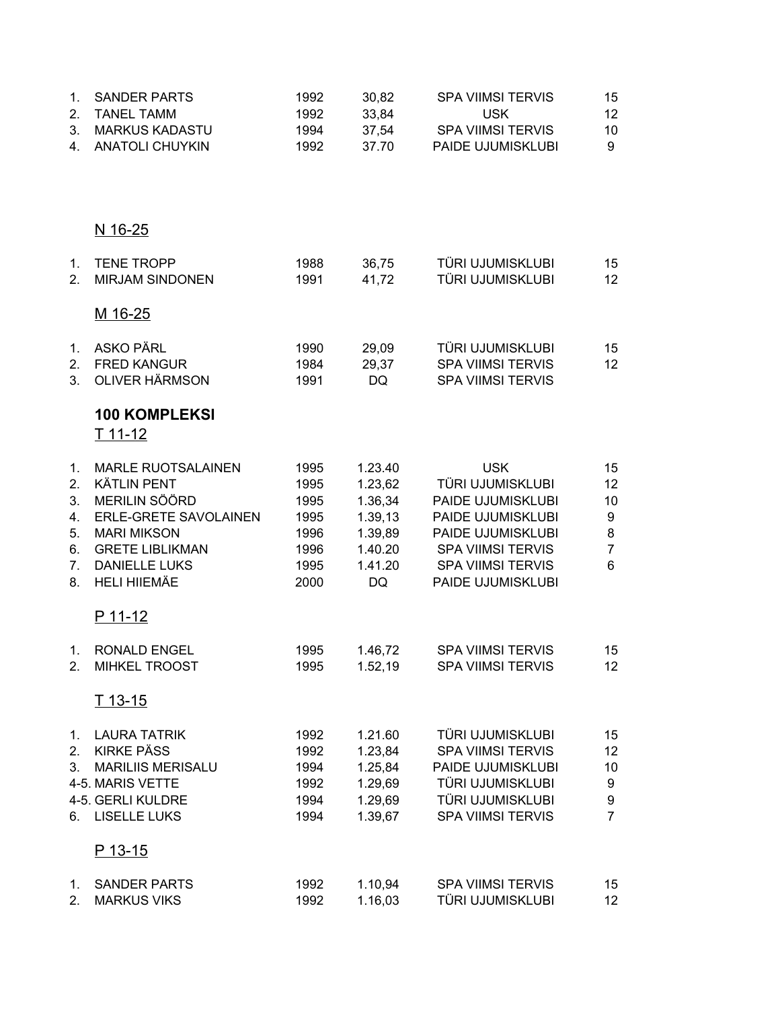| 1.<br>2.<br>3.                               | <b>SANDER PARTS</b><br><b>TANEL TAMM</b><br><b>MARKUS KADASTU</b>                                                                                                                        | 1992<br>1992<br>1994                                         | 30,82<br>33,84<br>37,54                                                         | <b>SPA VIIMSI TERVIS</b><br><b>USK</b><br><b>SPA VIIMSI TERVIS</b>                                                                                                         | 15<br>12<br>10                                  |
|----------------------------------------------|------------------------------------------------------------------------------------------------------------------------------------------------------------------------------------------|--------------------------------------------------------------|---------------------------------------------------------------------------------|----------------------------------------------------------------------------------------------------------------------------------------------------------------------------|-------------------------------------------------|
| 4.                                           | <b>ANATOLI CHUYKIN</b>                                                                                                                                                                   | 1992                                                         | 37.70                                                                           | PAIDE UJUMISKLUBI                                                                                                                                                          | 9                                               |
|                                              | N 16-25                                                                                                                                                                                  |                                                              |                                                                                 |                                                                                                                                                                            |                                                 |
| 1.<br>2.                                     | <b>TENE TROPP</b><br><b>MIRJAM SINDONEN</b>                                                                                                                                              | 1988<br>1991                                                 | 36,75<br>41,72                                                                  | TÜRI UJUMISKLUBI<br>TÜRI UJUMISKLUBI                                                                                                                                       | 15<br>12                                        |
|                                              | M 16-25                                                                                                                                                                                  |                                                              |                                                                                 |                                                                                                                                                                            |                                                 |
| 1.<br>3.                                     | <b>ASKO PÄRL</b><br>2. FRED KANGUR<br><b>OLIVER HÄRMSON</b>                                                                                                                              | 1990<br>1984<br>1991                                         | 29,09<br>29,37<br><b>DQ</b>                                                     | TÜRI UJUMISKLUBI<br><b>SPA VIIMSI TERVIS</b><br><b>SPA VIIMSI TERVIS</b>                                                                                                   | 15<br>12                                        |
|                                              | <b>100 KOMPLEKSI</b><br>T 11-12                                                                                                                                                          |                                                              |                                                                                 |                                                                                                                                                                            |                                                 |
| 1.<br>2.<br>3.<br>4.<br>5.<br>6.<br>7.<br>8. | <b>MARLE RUOTSALAINEN</b><br><b>KÄTLIN PENT</b><br>MERILIN SÖÖRD<br>ERLE-GRETE SAVOLAINEN<br><b>MARI MIKSON</b><br><b>GRETE LIBLIKMAN</b><br><b>DANIELLE LUKS</b><br><b>HELI HIIEMÄE</b> | 1995<br>1995<br>1995<br>1995<br>1996<br>1996<br>1995<br>2000 | 1.23.40<br>1.23,62<br>1.36,34<br>1.39,13<br>1.39,89<br>1.40.20<br>1.41.20<br>DQ | <b>USK</b><br>TÜRI UJUMISKLUBI<br>PAIDE UJUMISKLUBI<br>PAIDE UJUMISKLUBI<br>PAIDE UJUMISKLUBI<br><b>SPA VIIMSI TERVIS</b><br><b>SPA VIIMSI TERVIS</b><br>PAIDE UJUMISKLUBI | 15<br>12<br>10<br>9<br>8<br>$\overline{7}$<br>6 |
|                                              | P 11-12                                                                                                                                                                                  |                                                              |                                                                                 |                                                                                                                                                                            |                                                 |
| 1.<br>2.                                     | <b>RONALD ENGEL</b><br><b>MIHKEL TROOST</b>                                                                                                                                              | 1995<br>1995                                                 | 1.46,72<br>1.52,19                                                              | <b>SPA VIIMSI TERVIS</b><br><b>SPA VIIMSI TERVIS</b>                                                                                                                       | 15<br>12                                        |
|                                              | <u>T 13-15</u>                                                                                                                                                                           |                                                              |                                                                                 |                                                                                                                                                                            |                                                 |
| 1.<br>2.<br>3.<br>6.                         | <b>LAURA TATRIK</b><br><b>KIRKE PÄSS</b><br><b>MARILIIS MERISALU</b><br>4-5. MARIS VETTE<br>4-5. GERLI KULDRE<br><b>LISELLE LUKS</b>                                                     | 1992<br>1992<br>1994<br>1992<br>1994<br>1994                 | 1.21.60<br>1.23,84<br>1.25,84<br>1.29,69<br>1.29,69<br>1.39,67                  | TÜRI UJUMISKLUBI<br><b>SPA VIIMSI TERVIS</b><br>PAIDE UJUMISKLUBI<br>TÜRI UJUMISKLUBI<br>TÜRI UJUMISKLUBI<br><b>SPA VIIMSI TERVIS</b>                                      | 15<br>12<br>10<br>9<br>9<br>$\overline{7}$      |
|                                              | <u>P 13-15</u>                                                                                                                                                                           |                                                              |                                                                                 |                                                                                                                                                                            |                                                 |
| 1.<br>2.                                     | <b>SANDER PARTS</b><br><b>MARKUS VIKS</b>                                                                                                                                                | 1992<br>1992                                                 | 1.10,94<br>1.16,03                                                              | <b>SPA VIIMSI TERVIS</b><br>TÜRI UJUMISKLUBI                                                                                                                               | 15<br>12                                        |